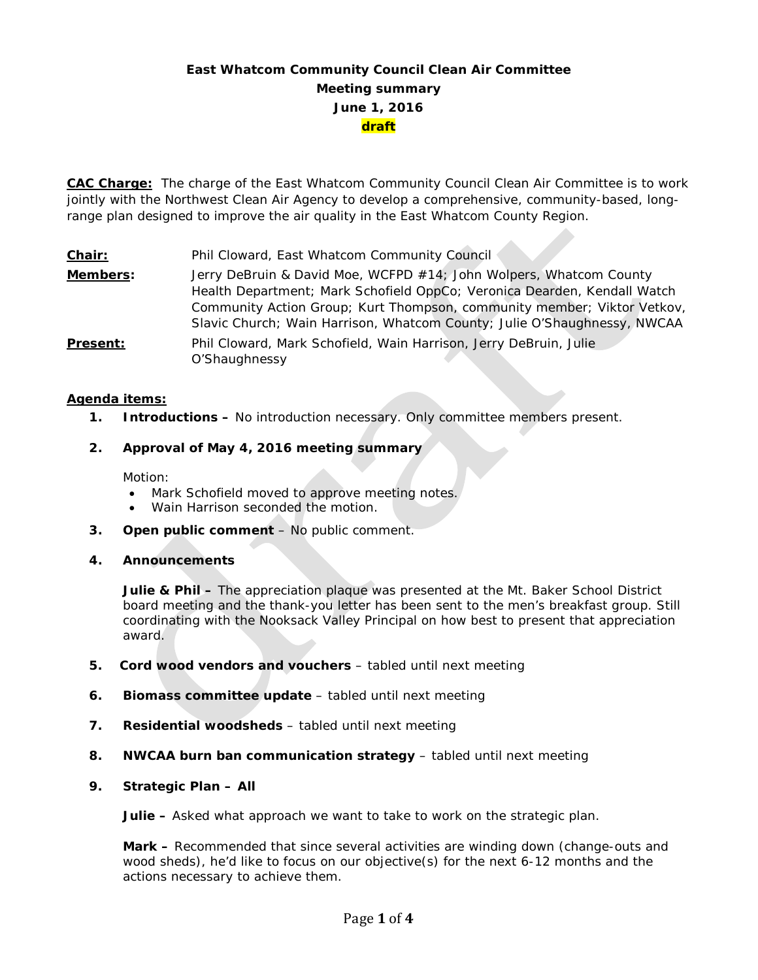# **East Whatcom Community Council Clean Air Committee Meeting summary June 1, 2016 draft**

**CAC Charge:** The charge of the East Whatcom Community Council Clean Air Committee is to work jointly with the Northwest Clean Air Agency to develop a comprehensive, community-based, longrange plan designed to improve the air quality in the East Whatcom County Region.

**Chair:** Phil Cloward, East Whatcom Community Council **Members:** Jerry DeBruin & David Moe, WCFPD #14; John Wolpers, Whatcom County Health Department; Mark Schofield OppCo; Veronica Dearden, Kendall Watch Community Action Group; Kurt Thompson, community member; Viktor Vetkov, Slavic Church; Wain Harrison, Whatcom County; Julie O'Shaughnessy, NWCAA **Present:** Phil Cloward, Mark Schofield, Wain Harrison, Jerry DeBruin, Julie O'Shaughnessy

## **Agenda items:**

**1. Introductions –** No introduction necessary. Only committee members present.

## **2. Approval of May 4, 2016 meeting summary**

Motion:

- Mark Schofield moved to approve meeting notes.
- Wain Harrison seconded the motion.
- **3. Open public comment**  No public comment.
- **4. Announcements**

**Julie & Phil –** The appreciation plaque was presented at the Mt. Baker School District board meeting and the thank-you letter has been sent to the men's breakfast group. Still coordinating with the Nooksack Valley Principal on how best to present that appreciation award.

- **5. Cord wood vendors and vouchers** tabled until next meeting
- **6. Biomass committee update** tabled until next meeting
- **7. Residential woodsheds** tabled until next meeting
- **8. NWCAA burn ban communication strategy** tabled until next meeting
- **9. Strategic Plan – All**

**Julie –** Asked what approach we want to take to work on the strategic plan.

**Mark –** Recommended that since several activities are winding down (change-outs and wood sheds), he'd like to focus on our objective(s) for the next 6-12 months and the actions necessary to achieve them.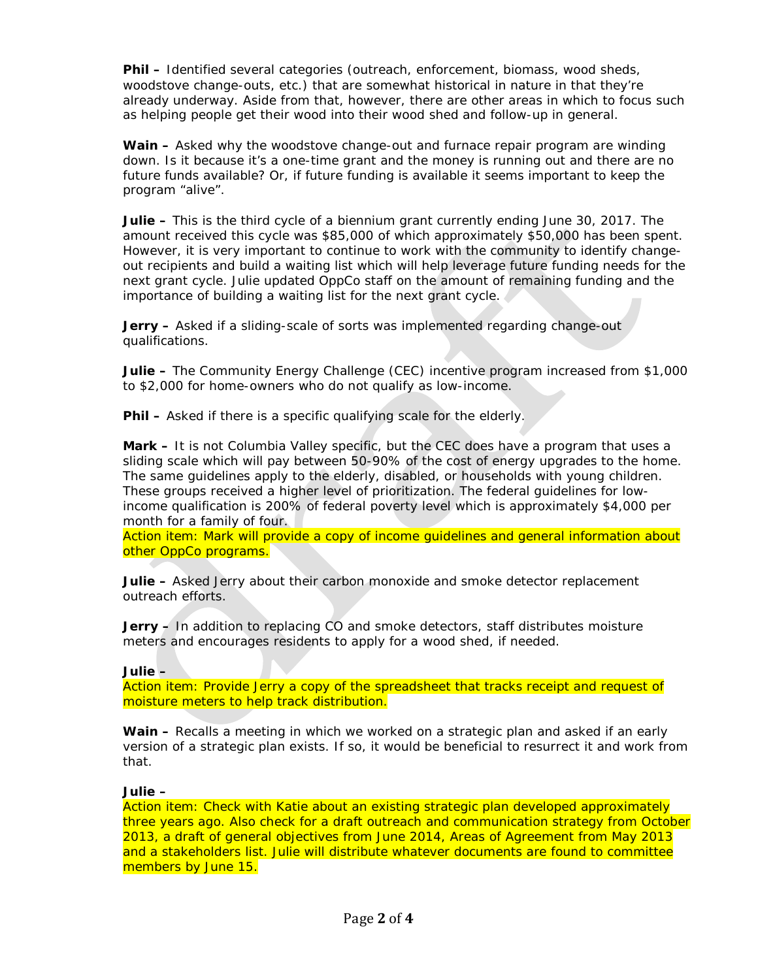**Phil –** Identified several categories (outreach, enforcement, biomass, wood sheds, woodstove change-outs, etc.) that are somewhat historical in nature in that they're already underway. Aside from that, however, there are other areas in which to focus such as helping people get their wood into their wood shed and follow-up in general.

**Wain –** Asked why the woodstove change-out and furnace repair program are winding down. Is it because it's a one-time grant and the money is running out and there are no future funds available? Or, if future funding is available it seems important to keep the program "alive".

**Julie –** This is the third cycle of a biennium grant currently ending June 30, 2017. The amount received this cycle was \$85,000 of which approximately \$50,000 has been spent. However, it is very important to continue to work with the community to identify changeout recipients and build a waiting list which will help leverage future funding needs for the next grant cycle. Julie updated OppCo staff on the amount of remaining funding and the importance of building a waiting list for the next grant cycle.

**Jerry –** Asked if a sliding-scale of sorts was implemented regarding change-out qualifications.

**Julie –** The Community Energy Challenge (CEC) incentive program increased from \$1,000 to \$2,000 for home-owners who do not qualify as low-income.

**Phil –** Asked if there is a specific qualifying scale for the elderly.

**Mark –** It is not Columbia Valley specific, but the CEC does have a program that uses a sliding scale which will pay between 50-90% of the cost of energy upgrades to the home. The same guidelines apply to the elderly, disabled, or households with young children. These groups received a higher level of prioritization. The federal guidelines for lowincome qualification is 200% of federal poverty level which is approximately \$4,000 per month for a family of four.

Action item: Mark will provide a copy of income guidelines and general information about other OppCo programs.

**Julie –** Asked Jerry about their carbon monoxide and smoke detector replacement outreach efforts.

**Jerry –** In addition to replacing CO and smoke detectors, staff distributes moisture meters and encourages residents to apply for a wood shed, if needed.

#### **Julie –**

Action item: Provide Jerry a copy of the spreadsheet that tracks receipt and request of moisture meters to help track distribution.

**Wain –** Recalls a meeting in which we worked on a strategic plan and asked if an early version of a strategic plan exists. If so, it would be beneficial to resurrect it and work from that.

#### **Julie –**

Action item: Check with Katie about an existing strategic plan developed approximately three years ago. Also check for a draft outreach and communication strategy from October 2013, a draft of general objectives from June 2014, Areas of Agreement from May 2013 and a stakeholders list. Julie will distribute whatever documents are found to committee members by June 15.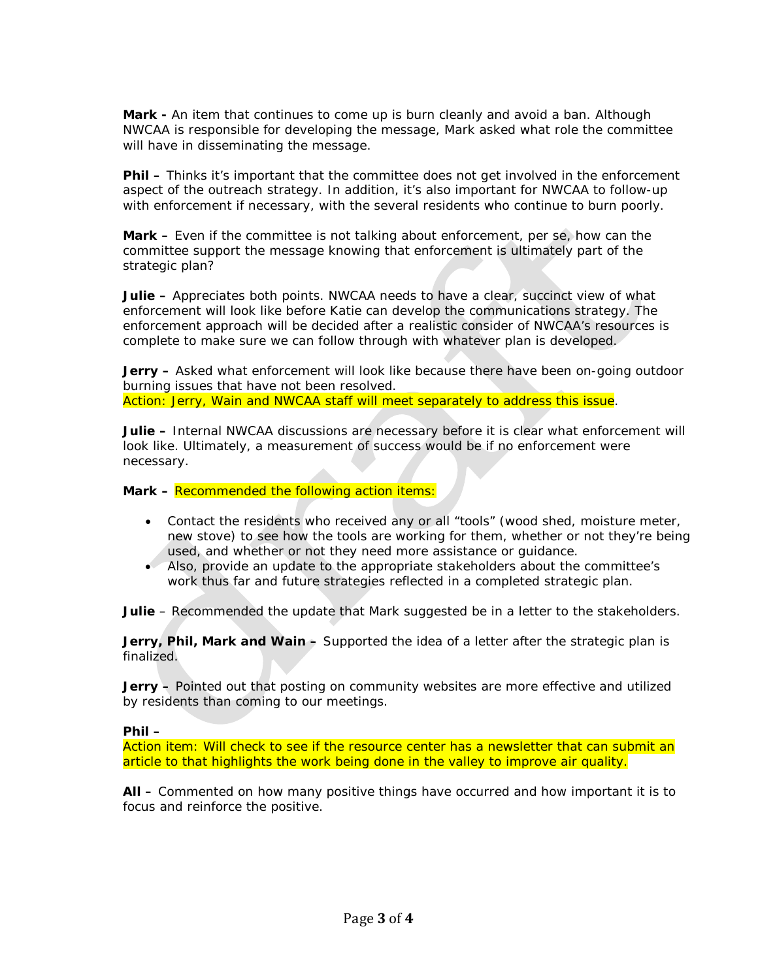**Mark -** An item that continues to come up is burn cleanly and avoid a ban. Although NWCAA is responsible for developing the message, Mark asked what role the committee will have in disseminating the message.

**Phil –** Thinks it's important that the committee does not get involved in the enforcement aspect of the outreach strategy. In addition, it's also important for NWCAA to follow-up with enforcement if necessary, with the several residents who continue to burn poorly.

**Mark –** Even if the committee is not talking about enforcement, per se, how can the committee support the message knowing that enforcement is ultimately part of the strategic plan?

**Julie –** Appreciates both points. NWCAA needs to have a clear, succinct view of what enforcement will look like before Katie can develop the communications strategy. The enforcement approach will be decided after a realistic consider of NWCAA's resources is complete to make sure we can follow through with whatever plan is developed.

**Jerry** – Asked what enforcement will look like because there have been on-going outdoor burning issues that have not been resolved.

Action: Jerry, Wain and NWCAA staff will meet separately to address this issue.

**Julie –** Internal NWCAA discussions are necessary before it is clear what enforcement will look like. Ultimately, a measurement of success would be if no enforcement were necessary.

**Mark –** Recommended the following action items:

- Contact the residents who received any or all "tools" (wood shed, moisture meter, new stove) to see how the tools are working for them, whether or not they're being used, and whether or not they need more assistance or guidance.
- Also, provide an update to the appropriate stakeholders about the committee's work thus far and future strategies reflected in a completed strategic plan.

**Julie** – Recommended the update that Mark suggested be in a letter to the stakeholders.

**Jerry, Phil, Mark and Wain –** Supported the idea of a letter after the strategic plan is finalized.

**Jerry –** Pointed out that posting on community websites are more effective and utilized by residents than coming to our meetings.

# **Phil –**

Action item: Will check to see if the resource center has a newsletter that can submit an article to that highlights the work being done in the valley to improve air quality.

**All –** Commented on how many positive things have occurred and how important it is to focus and reinforce the positive.